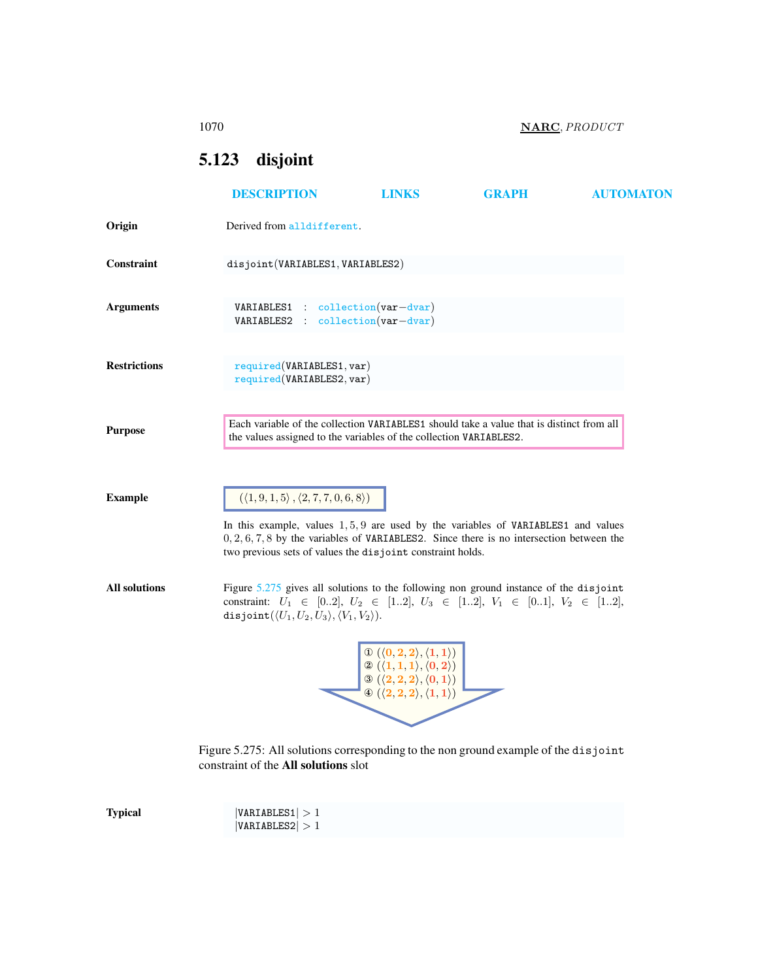1070 NARC, PRODUCT

# <span id="page-0-0"></span>5.123 disjoint

|                      | <b>DESCRIPTION</b>                                                                                                                                                                                                                                                                                                   | <b>LINKS</b>                                                                                                                                                                                                                                   | <b>GRAPH</b> | <b>AUTOMATON</b> |
|----------------------|----------------------------------------------------------------------------------------------------------------------------------------------------------------------------------------------------------------------------------------------------------------------------------------------------------------------|------------------------------------------------------------------------------------------------------------------------------------------------------------------------------------------------------------------------------------------------|--------------|------------------|
| Origin               | Derived from alldifferent.                                                                                                                                                                                                                                                                                           |                                                                                                                                                                                                                                                |              |                  |
| Constraint           | disjoint (VARIABLES1, VARIABLES2)                                                                                                                                                                                                                                                                                    |                                                                                                                                                                                                                                                |              |                  |
| <b>Arguments</b>     | $VARIABLES1 : collection(var-dvar)$<br>VARIABLES2 : collection(var-dvar)                                                                                                                                                                                                                                             |                                                                                                                                                                                                                                                |              |                  |
| <b>Restrictions</b>  | required(VARIABLES1, var)<br>required(VARIABLES2, var)                                                                                                                                                                                                                                                               |                                                                                                                                                                                                                                                |              |                  |
| <b>Purpose</b>       | Each variable of the collection VARIABLES1 should take a value that is distinct from all<br>the values assigned to the variables of the collection VARIABLES2.                                                                                                                                                       |                                                                                                                                                                                                                                                |              |                  |
| <b>Example</b>       | $(\langle 1, 9, 1, 5 \rangle, \langle 2, 7, 7, 0, 6, 8 \rangle)$<br>In this example, values $1, 5, 9$ are used by the variables of VARIABLES1 and values<br>$0, 2, 6, 7, 8$ by the variables of VARIABLES2. Since there is no intersection between the<br>two previous sets of values the disjoint constraint holds. |                                                                                                                                                                                                                                                |              |                  |
| <b>All solutions</b> | Figure $5.275$ gives all solutions to the following non ground instance of the disjoint<br>constraint: $U_1 \in [02], U_2 \in [12], U_3 \in [12], V_1 \in [01], V_2 \in [12],$<br>disjoint $(\langle U_1, U_2, U_3 \rangle, \langle V_1, V_2 \rangle).$                                                              |                                                                                                                                                                                                                                                |              |                  |
|                      |                                                                                                                                                                                                                                                                                                                      | $\mathbb{O}(\langle 0, 2, 2 \rangle, \langle 1, 1 \rangle)$<br>$\mathcal{D}(\langle 1,1,1\rangle,\langle0,2\rangle)$<br>$\circledS (\langle 2,2,2 \rangle, \langle 0,1 \rangle)$<br>$\circledast (\langle 2,2,2 \rangle, \langle 1,1 \rangle)$ |              |                  |
|                      | Figure 5.275: All solutions corresponding to the non ground example of the disjoint<br>constraint of the All solutions slot                                                                                                                                                                                          |                                                                                                                                                                                                                                                |              |                  |

<span id="page-0-1"></span> $\textbf{Typical}$  |VARIABLES1| > 1  $|VARIABLES2| > 1$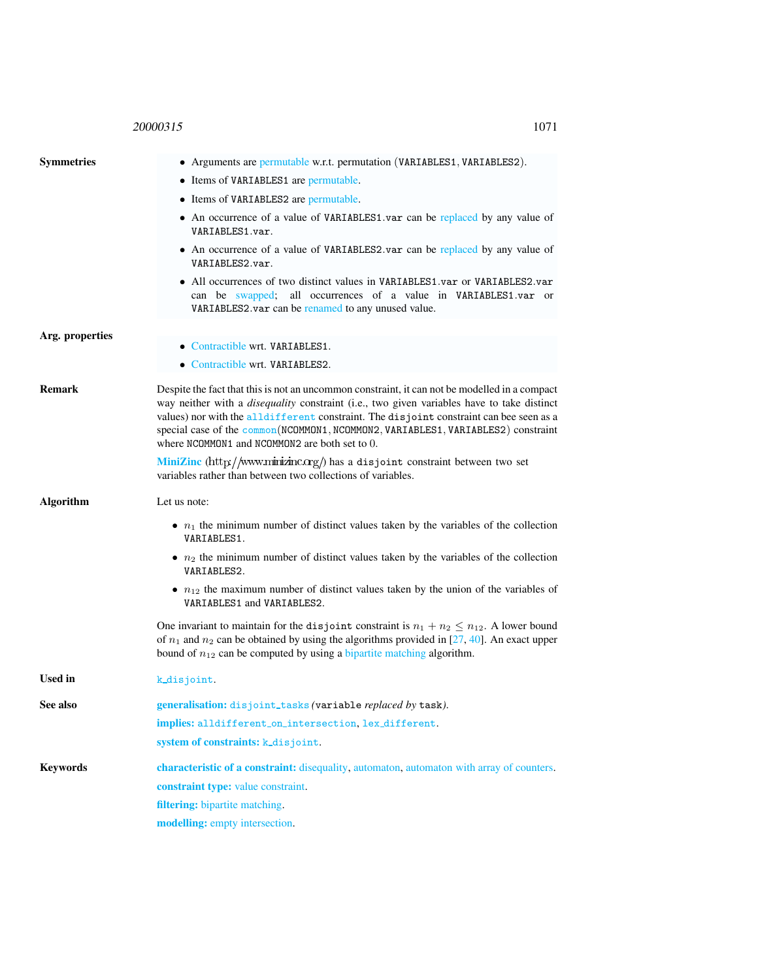## 20000315 1071

<span id="page-1-0"></span>

| <b>Symmetries</b> | • Arguments are permutable w.r.t. permutation (VARIABLES1, VARIABLES2).                                                                                                                                                                                                                                                                                                                                                               |  |  |  |
|-------------------|---------------------------------------------------------------------------------------------------------------------------------------------------------------------------------------------------------------------------------------------------------------------------------------------------------------------------------------------------------------------------------------------------------------------------------------|--|--|--|
|                   | • Items of VARIABLES1 are permutable.                                                                                                                                                                                                                                                                                                                                                                                                 |  |  |  |
|                   | • Items of VARIABLES2 are permutable.                                                                                                                                                                                                                                                                                                                                                                                                 |  |  |  |
|                   | • An occurrence of a value of VARIABLES1 var can be replaced by any value of<br>VARIABLES1.var.                                                                                                                                                                                                                                                                                                                                       |  |  |  |
|                   | • An occurrence of a value of VARIABLES2 var can be replaced by any value of<br>VARIABLES2.var.                                                                                                                                                                                                                                                                                                                                       |  |  |  |
|                   | • All occurrences of two distinct values in VARIABLES1.var or VARIABLES2.var<br>can be swapped; all occurrences of a value in VARIABLES1.var or<br>VARIABLES2.var can be renamed to any unused value.                                                                                                                                                                                                                                 |  |  |  |
| Arg. properties   |                                                                                                                                                                                                                                                                                                                                                                                                                                       |  |  |  |
|                   | • Contractible wrt. VARIABLES1.                                                                                                                                                                                                                                                                                                                                                                                                       |  |  |  |
|                   | • Contractible wrt. VARIABLES2.                                                                                                                                                                                                                                                                                                                                                                                                       |  |  |  |
| <b>Remark</b>     | Despite the fact that this is not an uncommon constraint, it can not be modelled in a compact<br>way neither with a <i>disequality</i> constraint (i.e., two given variables have to take distinct<br>values) nor with the all different constraint. The disjoint constraint can bee seen as a<br>special case of the common(NCOMMON1, NCOMMON2, VARIABLES1, VARIABLES2) constraint<br>where NCOMMON1 and NCOMMON2 are both set to 0. |  |  |  |
|                   | MiniZinc (http://www.minizinc.org/) has a disjoint constraint between two set<br>variables rather than between two collections of variables.                                                                                                                                                                                                                                                                                          |  |  |  |
| Algorithm         | Let us note:                                                                                                                                                                                                                                                                                                                                                                                                                          |  |  |  |
|                   | • $n_1$ the minimum number of distinct values taken by the variables of the collection<br>VARIABLES1.                                                                                                                                                                                                                                                                                                                                 |  |  |  |
|                   | • $n_2$ the minimum number of distinct values taken by the variables of the collection<br>VARIABLES2.                                                                                                                                                                                                                                                                                                                                 |  |  |  |
|                   | • $n_{12}$ the maximum number of distinct values taken by the union of the variables of<br>VARIABLES1 and VARIABLES2.                                                                                                                                                                                                                                                                                                                 |  |  |  |
|                   | One invariant to maintain for the disjoint constraint is $n_1 + n_2 \leq n_{12}$ . A lower bound<br>of $n_1$ and $n_2$ can be obtained by using the algorithms provided in [27, 40]. An exact upper<br>bound of $n_{12}$ can be computed by using a bipartite matching algorithm.                                                                                                                                                     |  |  |  |
| <b>Used in</b>    | k_disjoint.                                                                                                                                                                                                                                                                                                                                                                                                                           |  |  |  |
| See also          | generalisation: disjoint_tasks (variable replaced by task).                                                                                                                                                                                                                                                                                                                                                                           |  |  |  |
|                   | implies: alldifferent_on_intersection, lex_different.                                                                                                                                                                                                                                                                                                                                                                                 |  |  |  |
|                   | system of constraints: k_disjoint.                                                                                                                                                                                                                                                                                                                                                                                                    |  |  |  |
| <b>Keywords</b>   | characteristic of a constraint: disequality, automaton, automaton with array of counters.                                                                                                                                                                                                                                                                                                                                             |  |  |  |
|                   | constraint type: value constraint.                                                                                                                                                                                                                                                                                                                                                                                                    |  |  |  |
|                   | filtering: bipartite matching.                                                                                                                                                                                                                                                                                                                                                                                                        |  |  |  |
|                   | modelling: empty intersection.                                                                                                                                                                                                                                                                                                                                                                                                        |  |  |  |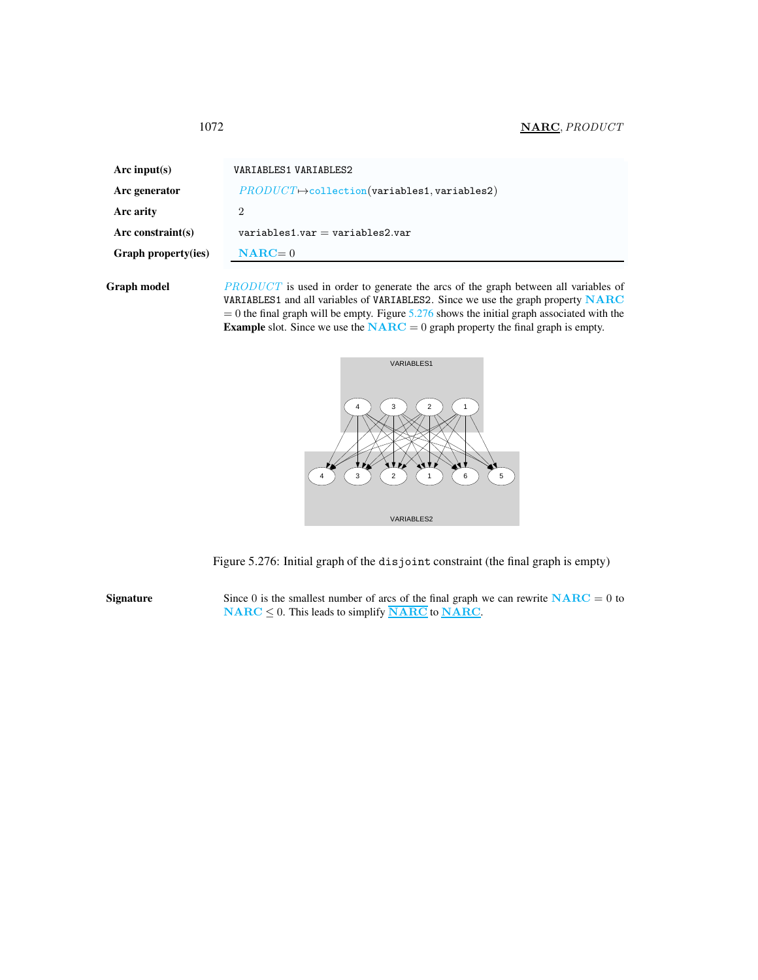### <span id="page-2-0"></span>1072 **NARC**, *PRODUCT*

| Arc input(s)        | VARIABLES1 VARIABLES2                                                                      |  |
|---------------------|--------------------------------------------------------------------------------------------|--|
| Arc generator       | $PRODUCT \rightarrow collection(variables1, variables2)$                                   |  |
| Arc arity           | 2                                                                                          |  |
| Arc constraint(s)   | $variable$ s1.var = variables2.var                                                         |  |
| Graph property(ies) | $NARC=0$                                                                                   |  |
| Graph model         | <i>PRODUCT</i> is used in order to generate the arcs of the graph between all variables of |  |

VARIABLES1 and all variables of VARIABLES2. Since we use the graph property NARC  $= 0$  the final graph will be empty. Figure  $5.276$  shows the initial graph associated with the **Example** slot. Since we use the  $NARC = 0$  graph property the final graph is empty.



<span id="page-2-1"></span>Figure 5.276: Initial graph of the disjoint constraint (the final graph is empty)

Signature Since 0 is the smallest number of arcs of the final graph we can rewrite  $NARC = 0$  to  $\textbf{NARC} \leq 0$ . This leads to simplify  $\overline{\textbf{NARC}}$  to  $\overline{\textbf{NARC}}$ .